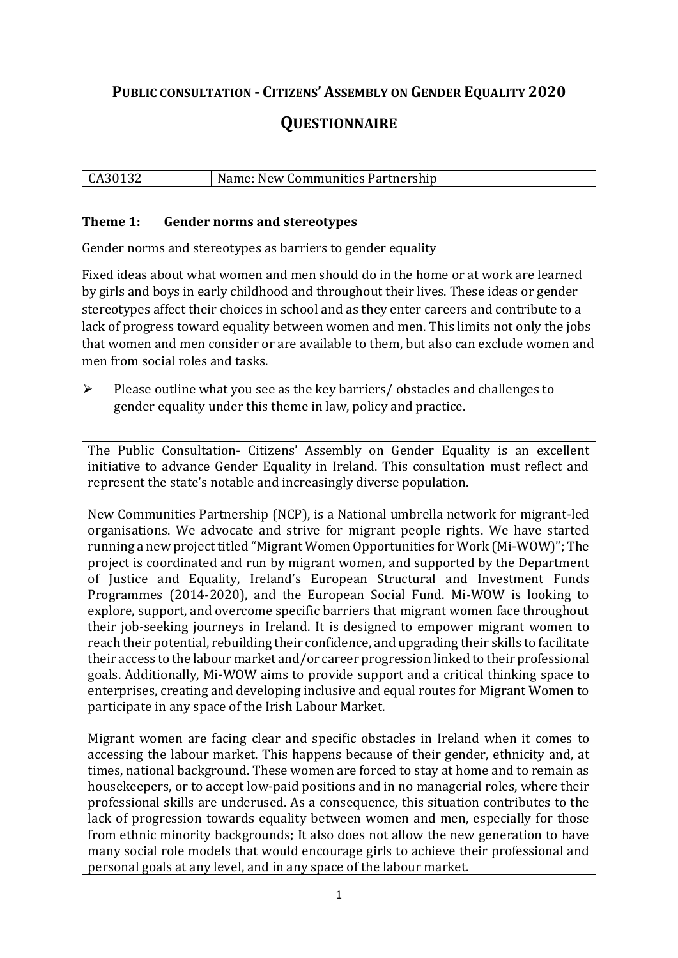# **PUBLIC CONSULTATION - CITIZENS' ASSEMBLY ON GENDER EQUALITY 2020**

# **QUESTIONNAIRE**

#### CA30132 Name: New Communities Partnership

#### **Theme 1: Gender norms and stereotypes**

Gender norms and stereotypes as barriers to gender equality

Fixed ideas about what women and men should do in the home or at work are learned by girls and boys in early childhood and throughout their lives. These ideas or gender stereotypes affect their choices in school and as they enter careers and contribute to a lack of progress toward equality between women and men. This limits not only the jobs that women and men consider or are available to them, but also can exclude women and men from social roles and tasks.

 $\triangleright$  Please outline what you see as the key barriers/ obstacles and challenges to gender equality under this theme in law, policy and practice.

The Public Consultation- Citizens' Assembly on Gender Equality is an excellent initiative to advance Gender Equality in Ireland. This consultation must reflect and represent the state's notable and increasingly diverse population.

New Communities Partnership (NCP), is a National umbrella network for migrant-led organisations. We advocate and strive for migrant people rights. We have started running a new project titled "Migrant Women Opportunities for Work (Mi-WOW)"; The project is coordinated and run by migrant women, and supported by the Department of Justice and Equality, Ireland's European Structural and Investment Funds Programmes (2014-2020), and the European Social Fund. Mi-WOW is looking to explore, support, and overcome specific barriers that migrant women face throughout their job-seeking journeys in Ireland. It is designed to empower migrant women to reach their potential, rebuilding their confidence, and upgrading their skills to facilitate their access to the labour market and/or career progression linked to their professional goals. Additionally, Mi-WOW aims to provide support and a critical thinking space to enterprises, creating and developing inclusive and equal routes for Migrant Women to participate in any space of the Irish Labour Market.

Migrant women are facing clear and specific obstacles in Ireland when it comes to accessing the labour market. This happens because of their gender, ethnicity and, at times, national background. These women are forced to stay at home and to remain as housekeepers, or to accept low-paid positions and in no managerial roles, where their professional skills are underused. As a consequence, this situation contributes to the lack of progression towards equality between women and men, especially for those from ethnic minority backgrounds; It also does not allow the new generation to have many social role models that would encourage girls to achieve their professional and personal goals at any level, and in any space of the labour market.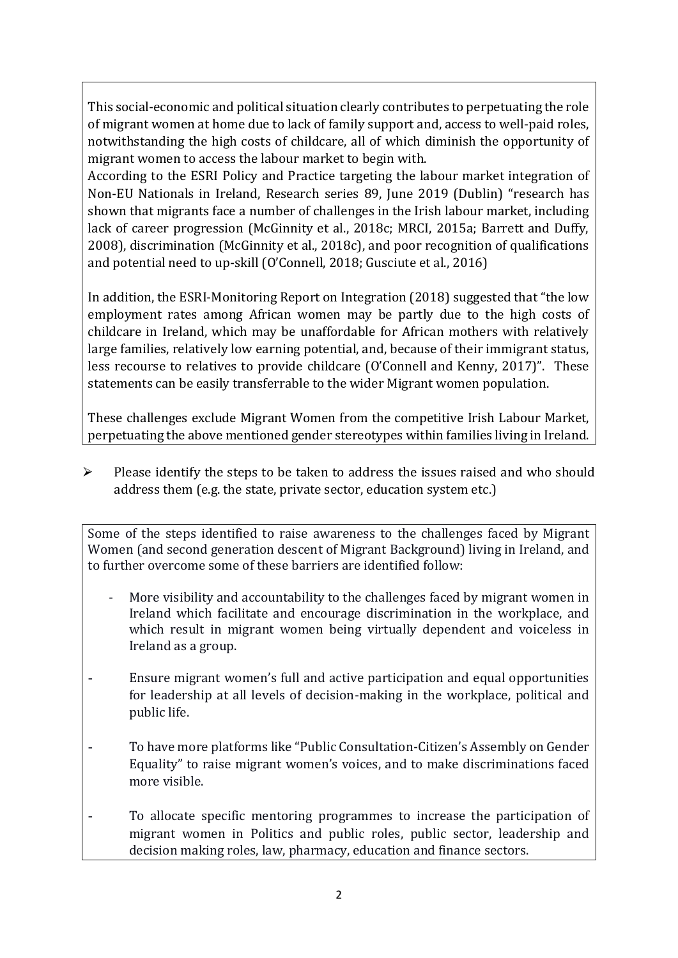This social-economic and political situation clearly contributes to perpetuating the role of migrant women at home due to lack of family support and, access to well-paid roles, notwithstanding the high costs of childcare, all of which diminish the opportunity of migrant women to access the labour market to begin with.

According to the ESRI Policy and Practice targeting the labour market integration of Non-EU Nationals in Ireland, Research series 89, June 2019 (Dublin) "research has shown that migrants face a number of challenges in the Irish labour market, including lack of career progression (McGinnity et al., 2018c; MRCI, 2015a; Barrett and Duffy, 2008), discrimination (McGinnity et al., 2018c), and poor recognition of qualifications and potential need to up-skill (O'Connell, 2018; Gusciute et al., 2016)

In addition, the ESRI-Monitoring Report on Integration (2018) suggested that "the low employment rates among African women may be partly due to the high costs of childcare in Ireland, which may be unaffordable for African mothers with relatively large families, relatively low earning potential, and, because of their immigrant status, less recourse to relatives to provide childcare (O'Connell and Kenny, 2017)". These statements can be easily transferrable to the wider Migrant women population.

These challenges exclude Migrant Women from the competitive Irish Labour Market, perpetuating the above mentioned gender stereotypes within families living in Ireland.

 $\triangleright$  Please identify the steps to be taken to address the issues raised and who should address them (e.g. the state, private sector, education system etc.)

Some of the steps identified to raise awareness to the challenges faced by Migrant Women (and second generation descent of Migrant Background) living in Ireland, and to further overcome some of these barriers are identified follow:

- More visibility and accountability to the challenges faced by migrant women in Ireland which facilitate and encourage discrimination in the workplace, and which result in migrant women being virtually dependent and voiceless in Ireland as a group.
- Ensure migrant women's full and active participation and equal opportunities for leadership at all levels of decision-making in the workplace, political and public life.
- To have more platforms like "Public Consultation-Citizen's Assembly on Gender Equality" to raise migrant women's voices, and to make discriminations faced more visible.
- To allocate specific mentoring programmes to increase the participation of migrant women in Politics and public roles, public sector, leadership and decision making roles, law, pharmacy, education and finance sectors.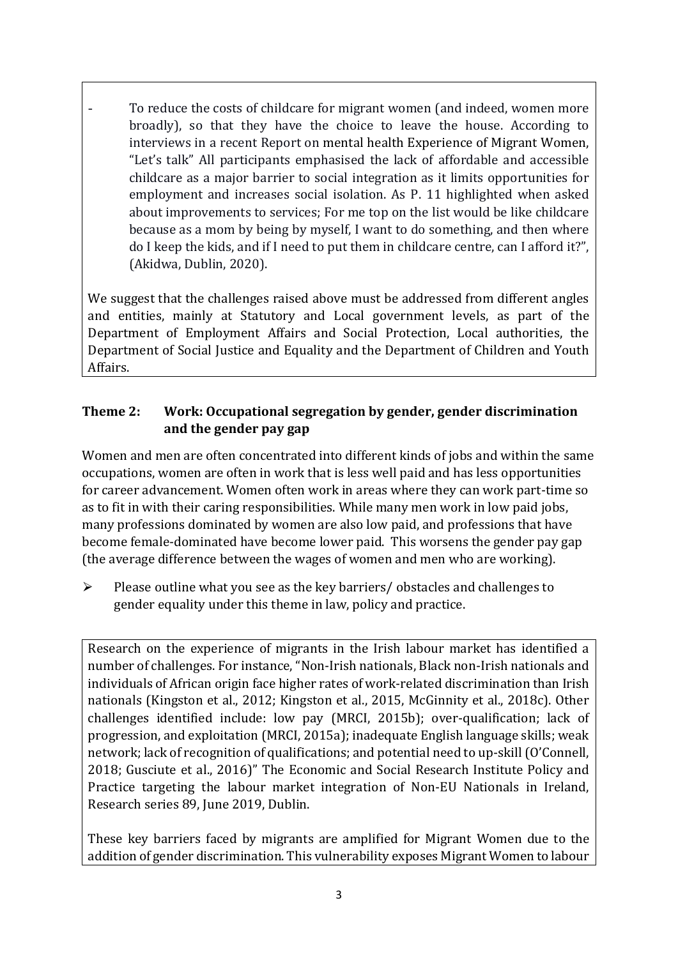To reduce the costs of childcare for migrant women (and indeed, women more broadly), so that they have the choice to leave the house. According to interviews in a recent Report on mental health Experience of Migrant Women, "Let's talk" All participants emphasised the lack of affordable and accessible childcare as a major barrier to social integration as it limits opportunities for employment and increases social isolation. As P. 11 highlighted when asked about improvements to services; For me top on the list would be like childcare because as a mom by being by myself, I want to do something, and then where do I keep the kids, and if I need to put them in childcare centre, can I afford it?", (Akidwa, Dublin, 2020).

We suggest that the challenges raised above must be addressed from different angles and entities, mainly at Statutory and Local government levels, as part of the Department of Employment Affairs and Social Protection, Local authorities, the Department of Social Justice and Equality and the Department of Children and Youth Affairs.

# **Theme 2: Work: Occupational segregation by gender, gender discrimination and the gender pay gap**

Women and men are often concentrated into different kinds of jobs and within the same occupations, women are often in work that is less well paid and has less opportunities for career advancement. Women often work in areas where they can work part-time so as to fit in with their caring responsibilities. While many men work in low paid jobs, many professions dominated by women are also low paid, and professions that have become female-dominated have become lower paid. This worsens the gender pay gap (the average difference between the wages of women and men who are working).

 $\triangleright$  Please outline what you see as the key barriers/ obstacles and challenges to gender equality under this theme in law, policy and practice.

Research on the experience of migrants in the Irish labour market has identified a number of challenges. For instance, "Non-Irish nationals, Black non-Irish nationals and individuals of African origin face higher rates of work-related discrimination than Irish nationals (Kingston et al., 2012; Kingston et al., 2015, McGinnity et al., 2018c). Other challenges identified include: low pay (MRCI, 2015b); over-qualification; lack of progression, and exploitation (MRCI, 2015a); inadequate English language skills; weak network; lack of recognition of qualifications; and potential need to up-skill (O'Connell, 2018; Gusciute et al., 2016)" The Economic and Social Research Institute Policy and Practice targeting the labour market integration of Non-EU Nationals in Ireland, Research series 89, June 2019, Dublin.

These key barriers faced by migrants are amplified for Migrant Women due to the addition of gender discrimination. This vulnerability exposes Migrant Women to labour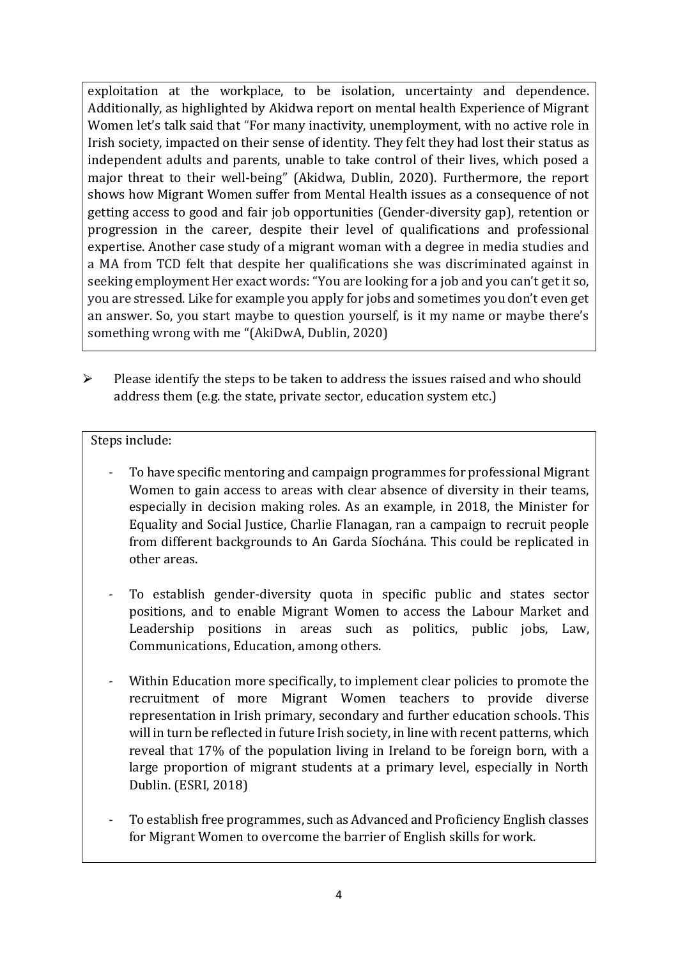exploitation at the workplace, to be isolation, uncertainty and dependence. Additionally, as highlighted by Akidwa report on mental health Experience of Migrant Women let's talk said that "For many inactivity, unemployment, with no active role in Irish society, impacted on their sense of identity. They felt they had lost their status as independent adults and parents, unable to take control of their lives, which posed a major threat to their well-being" (Akidwa, Dublin, 2020). Furthermore, the report shows how Migrant Women suffer from Mental Health issues as a consequence of not getting access to good and fair job opportunities (Gender-diversity gap), retention or progression in the career, despite their level of qualifications and professional expertise. Another case study of a migrant woman with a degree in media studies and a MA from TCD felt that despite her qualifications she was discriminated against in seeking employment Her exact words: "You are looking for a job and you can't get it so, you are stressed. Like for example you apply for jobs and sometimes you don't even get an answer. So, you start maybe to question yourself, is it my name or maybe there's something wrong with me "(AkiDwA, Dublin, 2020)

 $\triangleright$  Please identify the steps to be taken to address the issues raised and who should address them (e.g. the state, private sector, education system etc.)

#### Steps include:

- To have specific mentoring and campaign programmes for professional Migrant Women to gain access to areas with clear absence of diversity in their teams, especially in decision making roles. As an example, in 2018, the Minister for Equality and Social Justice, Charlie Flanagan, ran a campaign to recruit people from different backgrounds to An Garda Síochána. This could be replicated in other areas.
- To establish gender-diversity quota in specific public and states sector positions, and to enable Migrant Women to access the Labour Market and Leadership positions in areas such as politics, public jobs, Law, Communications, Education, among others.
- Within Education more specifically, to implement clear policies to promote the recruitment of more Migrant Women teachers to provide diverse representation in Irish primary, secondary and further education schools. This will in turn be reflected in future Irish society, in line with recent patterns, which reveal that 17% of the population living in Ireland to be foreign born, with a large proportion of migrant students at a primary level, especially in North Dublin. (ESRI, 2018)
- To establish free programmes, such as Advanced and Proficiency English classes for Migrant Women to overcome the barrier of English skills for work.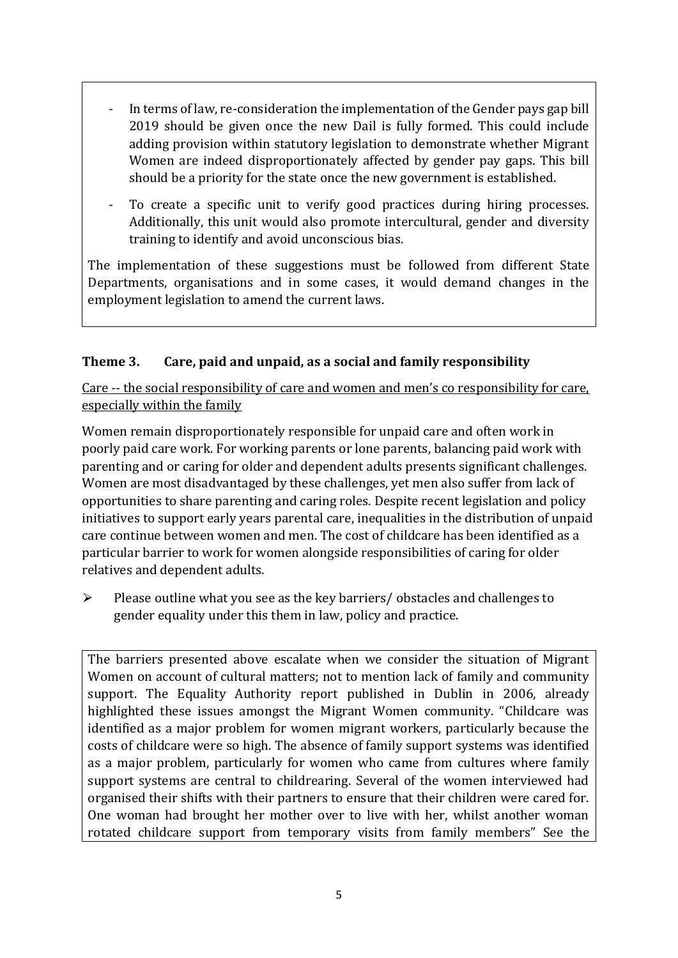- In terms of law, re-consideration the implementation of the Gender pays gap bill 2019 should be given once the new Dail is fully formed. This could include adding provision within statutory legislation to demonstrate whether Migrant Women are indeed disproportionately affected by gender pay gaps. This bill should be a priority for the state once the new government is established.
- To create a specific unit to verify good practices during hiring processes. Additionally, this unit would also promote intercultural, gender and diversity training to identify and avoid unconscious bias.

The implementation of these suggestions must be followed from different State Departments, organisations and in some cases, it would demand changes in the employment legislation to amend the current laws.

# **Theme 3. Care, paid and unpaid, as a social and family responsibility**

Care -- the social responsibility of care and women and men's co responsibility for care, especially within the family

Women remain disproportionately responsible for unpaid care and often work in poorly paid care work. For working parents or [lone parents,](https://aran.library.nuigalway.ie/bitstream/handle/10379/6044/Millar_and_Crosse_Activation_Report.pdf?sequence=1&isAllowed=y) balancing paid work with parenting and or caring for older and dependent adults presents significant challenges. Women are [most disadvantaged by these challenges,](https://eige.europa.eu/gender-equality-index/game/IE/W) yet men also suffer from lack of opportunities to share parenting and caring roles. Despite recent legislation and policy initiatives to support early years parental care, [inequalities in the distribution of unpaid](https://www.ihrec.ie/app/uploads/2019/07/Caring-and-Unpaid-Work-in-Ireland_Final.pdf)  [care](https://www.ihrec.ie/app/uploads/2019/07/Caring-and-Unpaid-Work-in-Ireland_Final.pdf) continue between women and men. The cost of childcare has been identified as a particular barrier to work for women alongside responsibilities of caring for older relatives and dependent adults.

 $\triangleright$  Please outline what you see as the key barriers/ obstacles and challenges to gender equality under this them in law, policy and practice.

The barriers presented above escalate when we consider the situation of Migrant Women on account of cultural matters; not to mention lack of family and community support. The Equality Authority report published in Dublin in 2006, already highlighted these issues amongst the Migrant Women community. "Childcare was identified as a major problem for women migrant workers, particularly because the costs of childcare were so high. The absence of family support systems was identified as a major problem, particularly for women who came from cultures where family support systems are central to childrearing. Several of the women interviewed had organised their shifts with their partners to ensure that their children were cared for. One woman had brought her mother over to live with her, whilst another woman rotated childcare support from temporary visits from family members" See the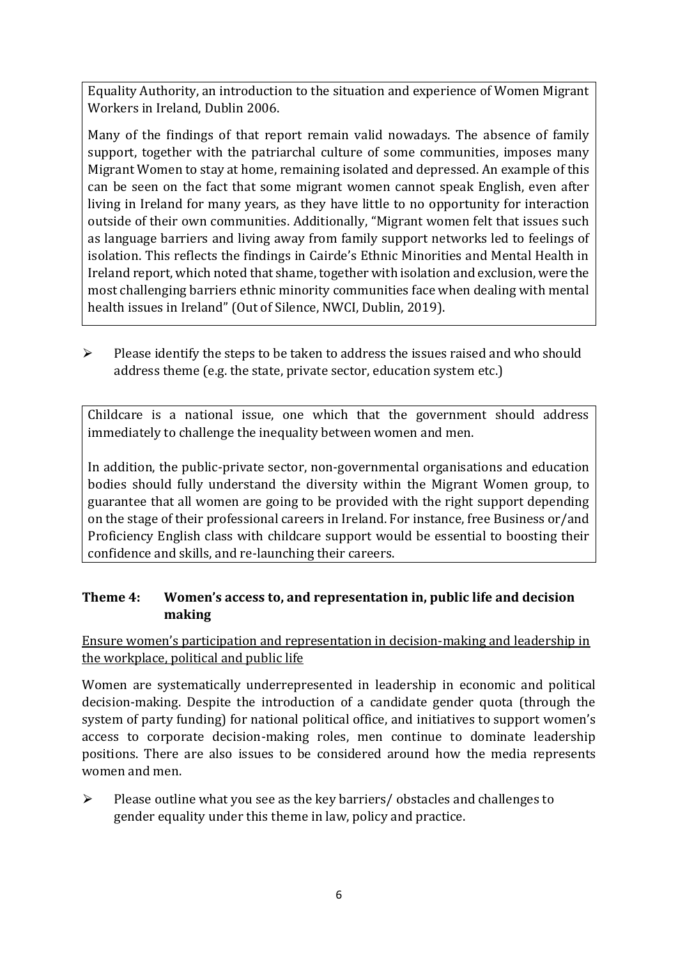Equality Authority, an introduction to the situation and experience of Women Migrant Workers in Ireland, Dublin 2006.

Many of the findings of that report remain valid nowadays. The absence of family support, together with the patriarchal culture of some communities, imposes many Migrant Women to stay at home, remaining isolated and depressed. An example of this can be seen on the fact that some migrant women cannot speak English, even after living in Ireland for many years, as they have little to no opportunity for interaction outside of their own communities. Additionally, "Migrant women felt that issues such as language barriers and living away from family support networks led to feelings of isolation. This reflects the findings in Cairde's Ethnic Minorities and Mental Health in Ireland report, which noted that shame, together with isolation and exclusion, were the most challenging barriers ethnic minority communities face when dealing with mental health issues in Ireland" (Out of Silence, NWCI, Dublin, 2019).

 $\triangleright$  Please identify the steps to be taken to address the issues raised and who should address theme (e.g. the state, private sector, education system etc.)

Childcare is a national issue, one which that the government should address immediately to challenge the inequality between women and men.

In addition, the public-private sector, non-governmental organisations and education bodies should fully understand the diversity within the Migrant Women group, to guarantee that all women are going to be provided with the right support depending on the stage of their professional careers in Ireland. For instance, free Business or/and Proficiency English class with childcare support would be essential to boosting their confidence and skills, and re-launching their careers.

# **Theme 4: Women's access to, and representation in, public life and decision making**

Ensure women's participation and representation in decision-making and leadership in the workplace, political and public life

Women are systematically underrepresented in leadership in [economic](https://eige.europa.eu/gender-equality-index/2019/compare-countries/power/2/bar) and [political](https://eige.europa.eu/gender-equality-index/2019/compare-countries/power/1/bar)  [decision-](https://eige.europa.eu/gender-equality-index/2019/compare-countries/power/1/bar)making. Despite the introduction of a candidate gender quota (through the system of party funding) for national political office, and [initiatives](https://betterbalance.ie/) to support women's access to corporate decision-making roles, men continue to dominate leadership positions. There are also issues to be considered around how the media represents women and men.

 $\triangleright$  Please outline what you see as the key barriers/ obstacles and challenges to gender equality under this theme in law, policy and practice.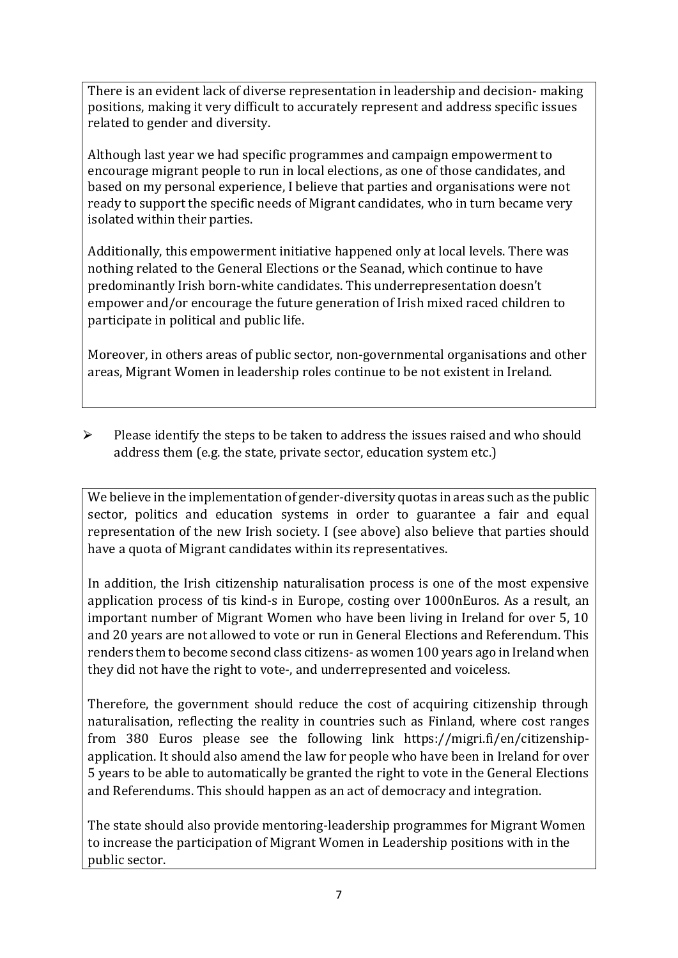There is an evident lack of diverse representation in leadership and decision- making positions, making it very difficult to accurately represent and address specific issues related to gender and diversity.

Although last year we had specific programmes and campaign empowerment to encourage migrant people to run in local elections, as one of those candidates, and based on my personal experience, I believe that parties and organisations were not ready to support the specific needs of Migrant candidates, who in turn became very isolated within their parties.

Additionally, this empowerment initiative happened only at local levels. There was nothing related to the General Elections or the Seanad, which continue to have predominantly Irish born-white candidates. This underrepresentation doesn't empower and/or encourage the future generation of Irish mixed raced children to participate in political and public life.

Moreover, in others areas of public sector, non-governmental organisations and other areas, Migrant Women in leadership roles continue to be not existent in Ireland.

 $\triangleright$  Please identify the steps to be taken to address the issues raised and who should address them (e.g. the state, private sector, education system etc.)

We believe in the implementation of gender-diversity quotas in areas such as the public sector, politics and education systems in order to guarantee a fair and equal representation of the new Irish society. I (see above) also believe that parties should have a quota of Migrant candidates within its representatives.

In addition, the Irish citizenship naturalisation process is one of the most expensive application process of tis kind-s in Europe, costing over 1000nEuros. As a result, an important number of Migrant Women who have been living in Ireland for over 5, 10 and 20 years are not allowed to vote or run in General Elections and Referendum. This renders them to become second class citizens- as women 100 years ago in Ireland when they did not have the right to vote-, and underrepresented and voiceless.

Therefore, the government should reduce the cost of acquiring citizenship through naturalisation, reflecting the reality in countries such as Finland, where cost ranges from 380 Euros please see the following link https://migri.fi/en/citizenshipapplication. It should also amend the law for people who have been in Ireland for over 5 years to be able to automatically be granted the right to vote in the General Elections and Referendums. This should happen as an act of democracy and integration.

The state should also provide mentoring-leadership programmes for Migrant Women to increase the participation of Migrant Women in Leadership positions with in the public sector.